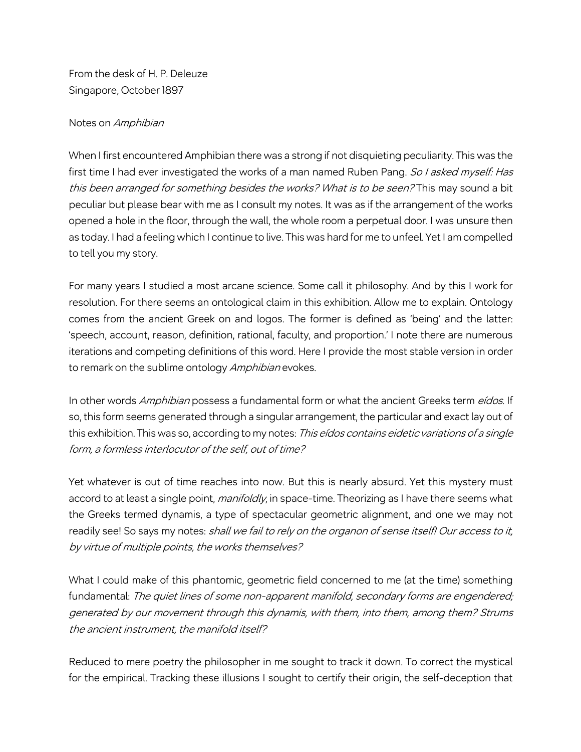From the desk of H. P. Deleuze Singapore, October 1897

## Notes on Amphibian

When I first encountered Amphibian there was a strong if not disquieting peculiarity. This was the first time I had ever investigated the works of a man named Ruben Pang. So I asked myself: Has this been arranged for something besides the works? What is to be seen? This may sound a bit peculiar but please bear with me as I consult my notes. It was as if the arrangement of the works opened a hole in the floor, through the wall, the whole room a perpetual door. I was unsure then as today. I had a feeling which I continue to live. This was hard for me to unfeel. Yet I am compelled to tell you my story.

For many years I studied a most arcane science. Some call it philosophy. And by this I work for resolution. For there seems an ontological claim in this exhibition. Allow me to explain. Ontology comes from the ancient Greek on and logos. The former is defined as 'being' and the latter: 'speech, account, reason, definition, rational, faculty, and proportion.' I note there are numerous iterations and competing definitions of this word. Here I provide the most stable version in order to remark on the sublime ontology Amphibian evokes.

In other words Amphibian possess a fundamental form or what the ancient Greeks term eídos. If so, this form seems generated through a singular arrangement, the particular and exact lay out of this exhibition. This was so, according to my notes: This eídos contains eidetic variations of a single form, a formless interlocutor of the self, out of time?

Yet whatever is out of time reaches into now. But this is nearly absurd. Yet this mystery must accord to at least a single point, *manifoldly*, in space-time. Theorizing as I have there seems what the Greeks termed dynamis, a type of spectacular geometric alignment, and one we may not readily see! So says my notes: shall we fail to rely on the organon of sense itself! Our access to it, by virtue of multiple points, the works themselves?

What I could make of this phantomic, geometric field concerned to me (at the time) something fundamental: The quiet lines of some non-apparent manifold, secondary forms are engendered; generated by our movement through this dynamis, with them, into them, among them? Strums the ancient instrument, the manifold itself?

Reduced to mere poetry the philosopher in me sought to track it down. To correct the mystical for the empirical. Tracking these illusions I sought to certify their origin, the self-deception that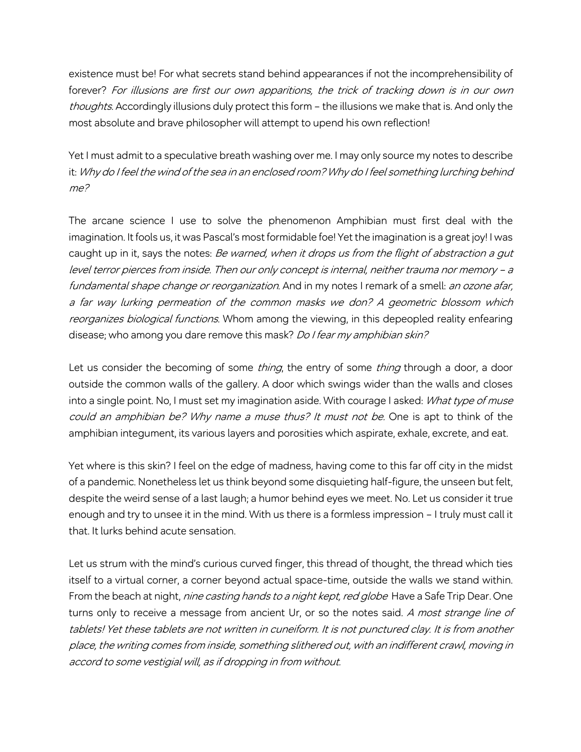existence must be! For what secrets stand behind appearances if not the incomprehensibility of forever? For illusions are first our own apparitions, the trick of tracking down is in our own thoughts. Accordingly illusions duly protect this form – the illusions we make that is. And only the most absolute and brave philosopher will attempt to upend his own reflection!

Yet I must admit to a speculative breath washing over me. I may only source my notes to describe it: Why do I feel the wind of the sea in an enclosed room? Why do I feel something lurching behind me?

The arcane science I use to solve the phenomenon Amphibian must first deal with the imagination. It fools us, it was Pascal's most formidable foe! Yet the imagination is a great joy! I was caught up in it, says the notes: Be warned, when it drops us from the flight of abstraction a gut level terror pierces from inside. Then our only concept is internal, neither trauma nor memory – <sup>a</sup> fundamental shape change or reorganization. And in my notes I remark of a smell: an ozone afar, a far way lurking permeation of the common masks we don? A geometric blossom which reorganizes biological functions. Whom among the viewing, in this depeopled reality enfearing disease; who among you dare remove this mask? *Do I fear my amphibian skin?* 

Let us consider the becoming of some *thing*, the entry of some *thing* through a door, a door outside the common walls of the gallery. A door which swings wider than the walls and closes into a single point. No, I must set my imagination aside. With courage I asked: What type of muse could an amphibian be? Why name a muse thus? It must not be. One is apt to think of the amphibian integument, its various layers and porosities which aspirate, exhale, excrete, and eat.

Yet where is this skin? I feel on the edge of madness, having come to this far off city in the midst of a pandemic. Nonetheless let us think beyond some disquieting half-figure, the unseen but felt, despite the weird sense of a last laugh; a humor behind eyes we meet. No. Let us consider it true enough and try to unsee it in the mind. With us there is a formless impression – I truly must call it that. It lurks behind acute sensation.

Let us strum with the mind's curious curved finger, this thread of thought, the thread which ties itself to a virtual corner, a corner beyond actual space-time, outside the walls we stand within. From the beach at night, nine casting hands to a night kept, red globe Have a Safe Trip Dear. One turns only to receive a message from ancient Ur, or so the notes said. A most strange line of tablets! Yet these tablets are not written in cuneiform. It is not punctured clay. It is from another place, the writing comes from inside, something slithered out, with an indifferent crawl, moving in accord to some vestigial will, as if dropping in from without.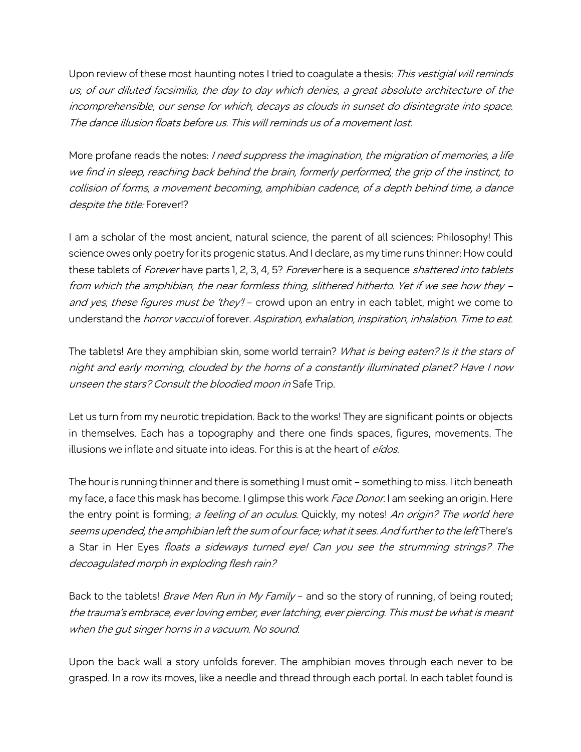Upon review of these most haunting notes I tried to coagulate a thesis: This vestigial will reminds us, of our diluted facsimilia, the day to day which denies, a great absolute architecture of the incomprehensible, our sense for which, decays as clouds in sunset do disintegrate into space. The dance illusion floats before us. This will reminds us of a movement lost.

More profane reads the notes: I need suppress the imagination, the migration of memories, a life we find in sleep, reaching back behind the brain, formerly performed, the grip of the instinct, to collision of forms, <sup>a</sup> movement becoming, amphibian cadence, of a depth behind time, a dance despite the title: Forever!?

I am a scholar of the most ancient, natural science, the parent of all sciences: Philosophy! This science owes only poetry for its progenic status. And I declare, as my time runs thinner: How could these tablets of Forever have parts 1, 2, 3, 4, 5? Forever here is a sequence shattered into tablets from which the amphibian, the near formless thing, slithered hitherto. Yet if we see how they – and yes, these figures must be 'they'! - crowd upon an entry in each tablet, might we come to understand the *horror vaccui* of forever. Aspiration, exhalation, inspiration, inhalation. Time to eat.

The tablets! Are they amphibian skin, some world terrain? What is being eaten? Is it the stars of night and early morning, clouded by the horns of a constantly illuminated planet? Have I now unseen the stars? Consult the bloodied moon in Safe Trip.

Let us turn from my neurotic trepidation. Back to the works! They are significant points or objects in themselves. Each has a topography and there one finds spaces, figures, movements. The illusions we inflate and situate into ideas. For this is at the heart of *eídos*.

The hour is running thinner and there is something I must omit – something to miss. I itch beneath my face, a face this mask has become. I glimpse this work *Face Donor*. I am seeking an origin. Here the entry point is forming; a feeling of an oculus. Quickly, my notes! An origin? The world here seems upended, the amphibian left the sum of our face; what it sees. And further to the left There's a Star in Her Eyes floats a sideways turned eye! Can you see the strumming strings? The decoagulated morph in exploding flesh rain?

Back to the tablets! *Brave Men Run in My Family* – and so the story of running, of being routed; the trauma's embrace, ever loving ember, ever latching, ever piercing. This must be what is meant when the gut singer horns in a vacuum. No sound.

Upon the back wall a story unfolds forever. The amphibian moves through each never to be grasped. In a row its moves, like a needle and thread through each portal. In each tablet found is